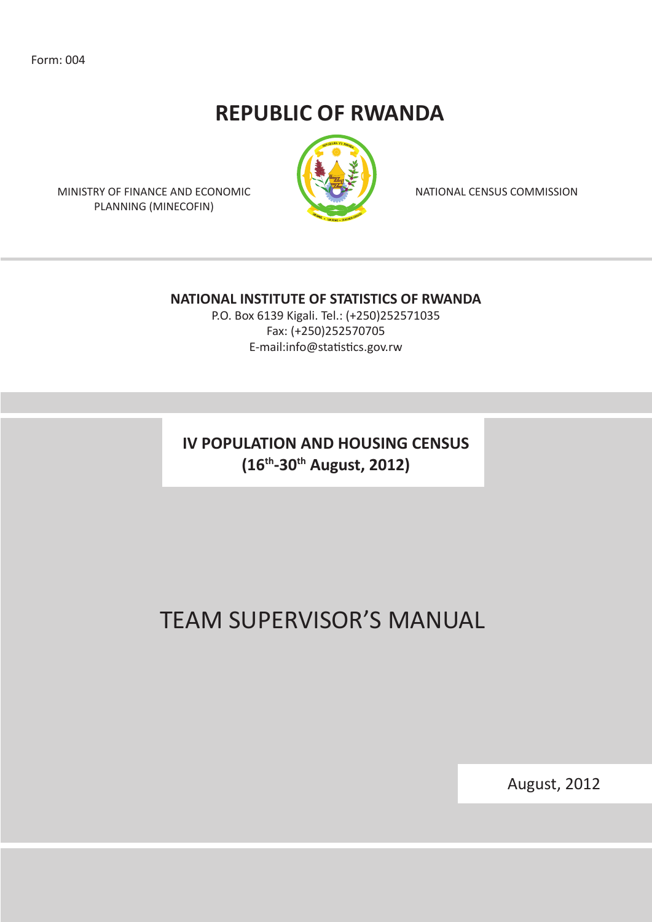Form: 004

## **REPUBLIC OF RWANDA**



NATIONAL CENSUS COMMISSION

MINISTRY OF FINANCE AND ECONOMIC PLANNING (MINECOFIN)

#### **NATIONAL INSTITUTE OF STATISTICS OF RWANDA**

P.O. Box 6139 Kigali. Tel.: (+250)252571035 Fax: (+250)252570705 E-mail:info@statistics.gov.rw

**IV POPULATION AND HOUSING CENSUS (16th-30th August, 2012)**

# TEAM SUPERVISOR'S MANUAL

August, 2012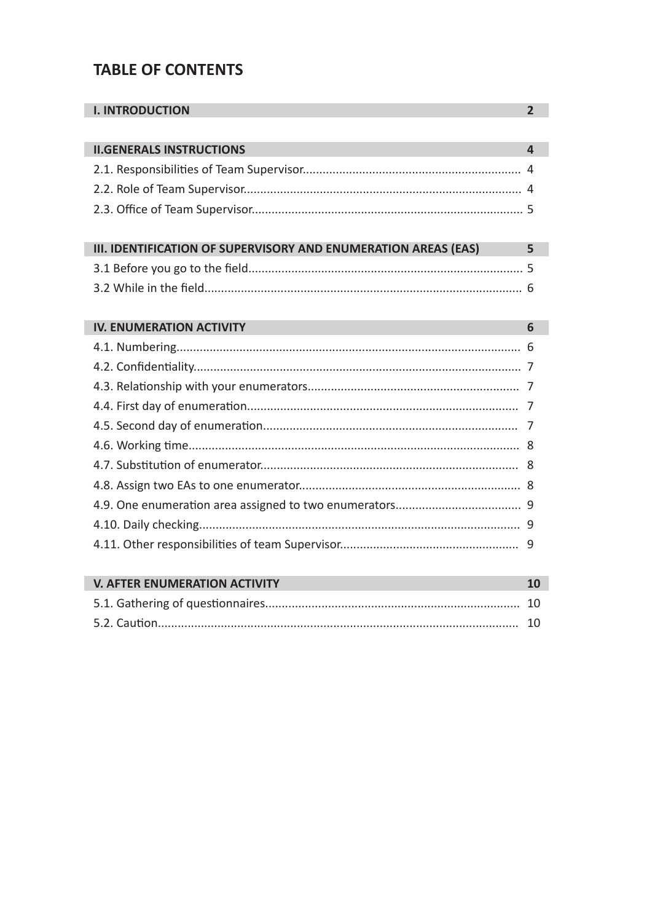## **TABLE OF CONTENTS**

| <b>I. INTRODUCTION</b>                                         | $\overline{2}$          |
|----------------------------------------------------------------|-------------------------|
|                                                                |                         |
| <b>II.GENERALS INSTRUCTIONS</b>                                | $\overline{\mathbf{A}}$ |
|                                                                |                         |
|                                                                |                         |
|                                                                |                         |
|                                                                |                         |
| III. IDENTIFICATION OF SUPERVISORY AND ENUMERATION AREAS (EAS) | 5                       |
|                                                                |                         |
|                                                                |                         |
|                                                                |                         |
| <b>IV. ENUMERATION ACTIVITY</b>                                | 6                       |
|                                                                |                         |
|                                                                |                         |
|                                                                |                         |
|                                                                |                         |
|                                                                |                         |
|                                                                |                         |
|                                                                |                         |
|                                                                |                         |
|                                                                |                         |
|                                                                |                         |
|                                                                |                         |
|                                                                |                         |
| <b>V. AFTER ENUMERATION ACTIVITY</b>                           | 10                      |
|                                                                | 10                      |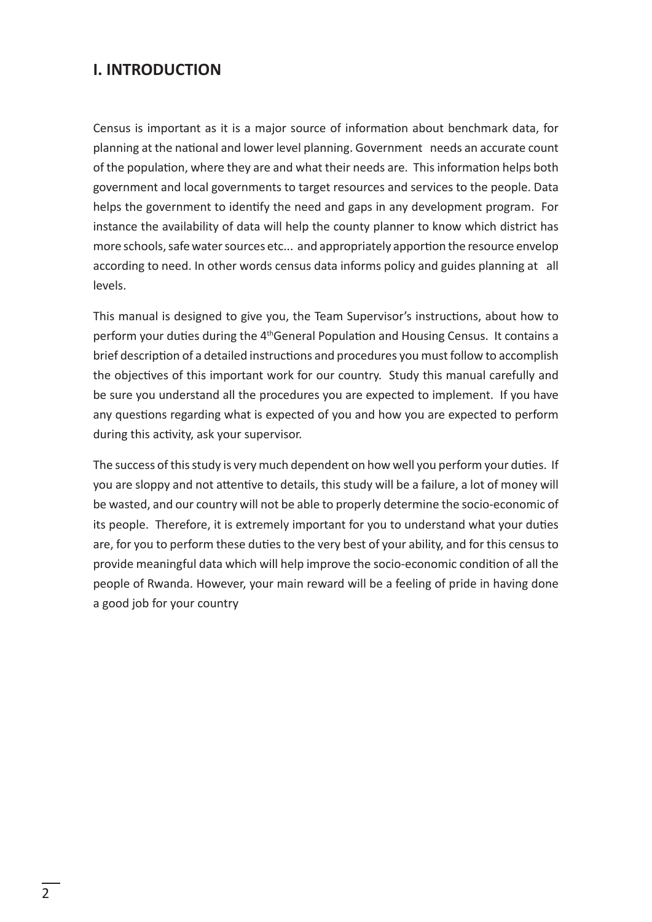### **I. INTRODUCTION**

Census is important as it is a major source of information about benchmark data, for planning at the national and lower level planning. Government needs an accurate count of the population, where they are and what their needs are. This information helps both government and local governments to target resources and services to the people. Data helps the government to identify the need and gaps in any development program. For instance the availability of data will help the county planner to know which district has more schools, safe water sources etc... and appropriately apportion the resource envelop according to need. In other words census data informs policy and guides planning at all levels.

This manual is designed to give you, the Team Supervisor's instructions, about how to perform your duties during the 4<sup>th</sup>General Population and Housing Census. It contains a brief description of a detailed instructions and procedures you must follow to accomplish the objectives of this important work for our country. Study this manual carefully and be sure you understand all the procedures you are expected to implement. If you have any questions regarding what is expected of you and how you are expected to perform during this activity, ask your supervisor.

The success of this study is very much dependent on how well you perform your duties. If you are sloppy and not attentive to details, this study will be a failure, a lot of money will be wasted, and our country will not be able to properly determine the socio-economic of its people. Therefore, it is extremely important for you to understand what your duties are, for you to perform these duties to the very best of your ability, and for this census to provide meaningful data which will help improve the socio-economic condition of all the people of Rwanda. However, your main reward will be a feeling of pride in having done a good job for your country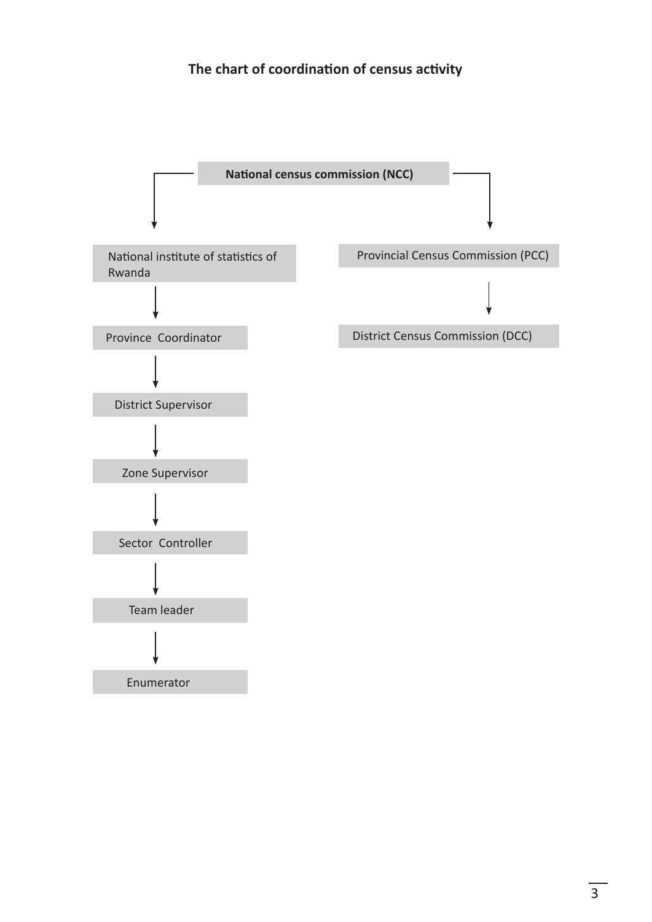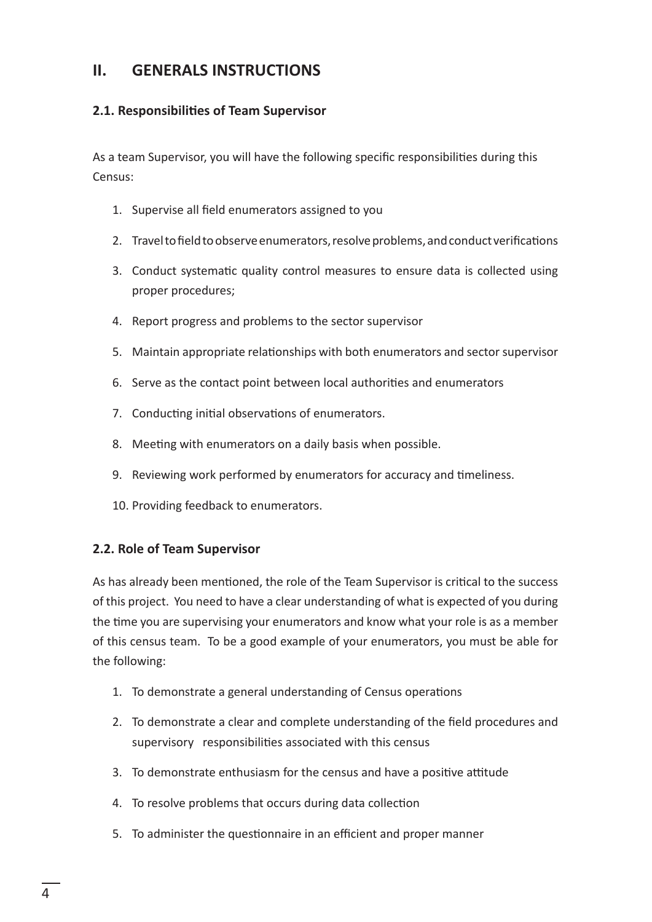## **II. GENERALS INSTRUCTIONS**

#### **2.1. Responsibilities of Team Supervisor**

As a team Supervisor, you will have the following specific responsibilities during this Census:

- 1. Supervise all field enumerators assigned to you
- 2. Travel to field to observe enumerators, resolve problems, and conduct verifications
- 3. Conduct systematic quality control measures to ensure data is collected using proper procedures;
- 4. Report progress and problems to the sector supervisor
- 5. Maintain appropriate relationships with both enumerators and sector supervisor
- 6. Serve as the contact point between local authorities and enumerators
- 7. Conducting initial observations of enumerators.
- 8. Meeting with enumerators on a daily basis when possible.
- 9. Reviewing work performed by enumerators for accuracy and timeliness.
- 10. Providing feedback to enumerators.

#### **2.2. Role of Team Supervisor**

As has already been mentioned, the role of the Team Supervisor is critical to the success of this project. You need to have a clear understanding of what is expected of you during the time you are supervising your enumerators and know what your role is as a member of this census team. To be a good example of your enumerators, you must be able for the following:

- 1. To demonstrate a general understanding of Census operations
- 2. To demonstrate a clear and complete understanding of the field procedures and supervisory responsibilities associated with this census
- 3. To demonstrate enthusiasm for the census and have a positive attitude
- 4. To resolve problems that occurs during data collection
- 5. To administer the questionnaire in an efficient and proper manner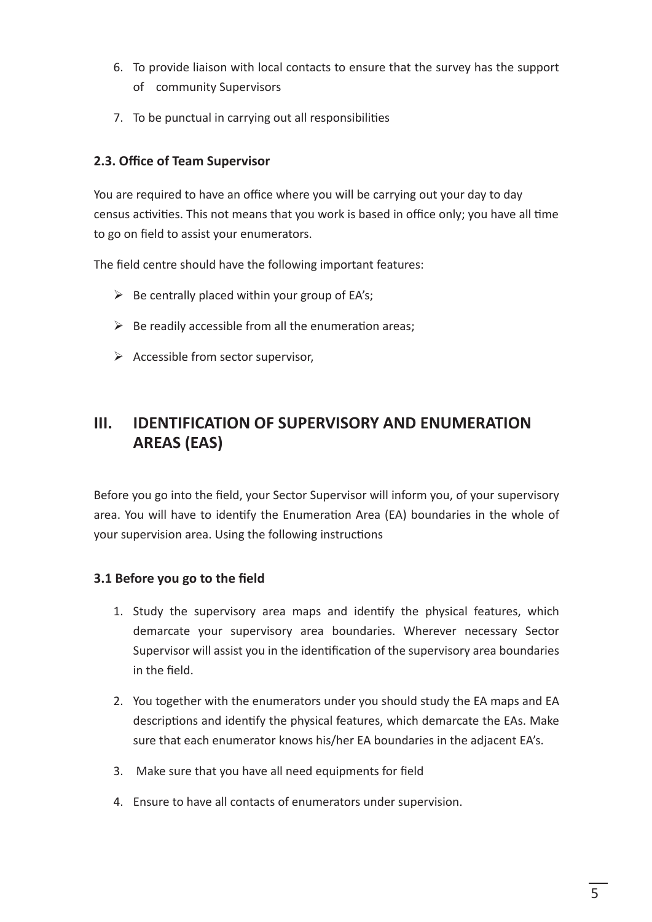- 6. To provide liaison with local contacts to ensure that the survey has the support of community Supervisors
- 7. To be punctual in carrying out all responsibilities

#### **2.3. Office of Team Supervisor**

You are required to have an office where you will be carrying out your day to day census activities. This not means that you work is based in office only; you have all time to go on field to assist your enumerators.

The field centre should have the following important features:

- $\triangleright$  Be centrally placed within your group of EA's;
- $\triangleright$  Be readily accessible from all the enumeration areas;
- $\triangleright$  Accessible from sector supervisor,

## **III. IDENTIFICATION OF SUPERVISORY AND ENUMERATION AREAS (EAS)**

Before you go into the field, your Sector Supervisor will inform you, of your supervisory area. You will have to identify the Enumeration Area (EA) boundaries in the whole of your supervision area. Using the following instructions

#### **3.1 Before you go to the field**

- 1. Study the supervisory area maps and identify the physical features, which demarcate your supervisory area boundaries. Wherever necessary Sector Supervisor will assist you in the identification of the supervisory area boundaries in the field.
- 2. You together with the enumerators under you should study the EA maps and EA descriptions and identify the physical features, which demarcate the EAs. Make sure that each enumerator knows his/her EA boundaries in the adjacent EA's.
- 3. Make sure that you have all need equipments for field
- 4. Ensure to have all contacts of enumerators under supervision.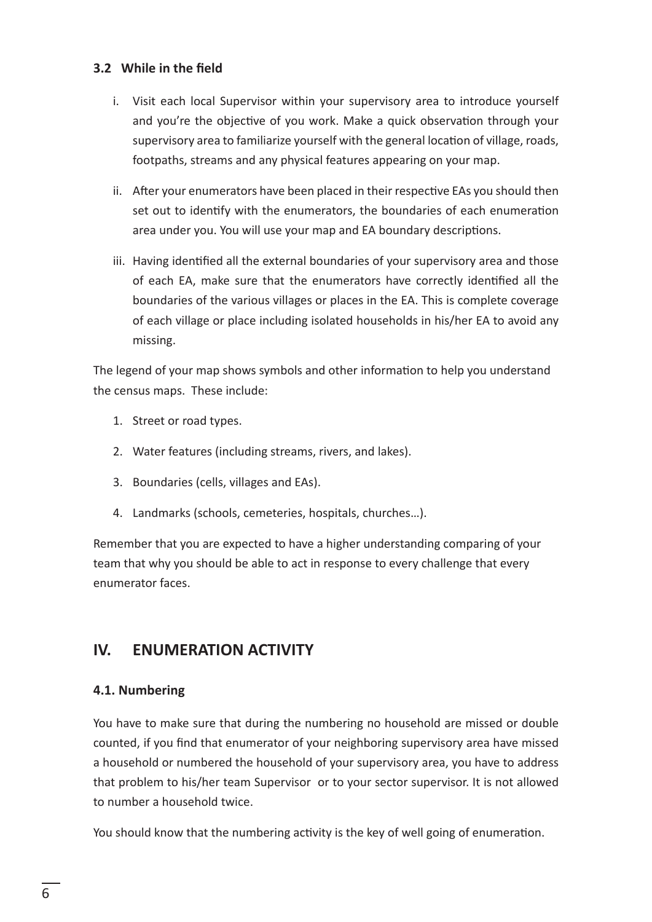#### **3.2 While in the field**

- i. Visit each local Supervisor within your supervisory area to introduce yourself and you're the objective of you work. Make a quick observation through your supervisory area to familiarize yourself with the general location of village, roads, footpaths, streams and any physical features appearing on your map.
- ii. After your enumerators have been placed in their respective EAs you should then set out to identify with the enumerators, the boundaries of each enumeration area under you. You will use your map and EA boundary descriptions.
- iii. Having identified all the external boundaries of your supervisory area and those of each EA, make sure that the enumerators have correctly identified all the boundaries of the various villages or places in the EA. This is complete coverage of each village or place including isolated households in his/her EA to avoid any missing.

The legend of your map shows symbols and other information to help you understand the census maps. These include:

- 1. Street or road types.
- 2. Water features (including streams, rivers, and lakes).
- 3. Boundaries (cells, villages and EAs).
- 4. Landmarks (schools, cemeteries, hospitals, churches…).

Remember that you are expected to have a higher understanding comparing of your team that why you should be able to act in response to every challenge that every enumerator faces.

## **IV. ENUMERATION ACTIVITY**

#### **4.1. Numbering**

You have to make sure that during the numbering no household are missed or double counted, if you find that enumerator of your neighboring supervisory area have missed a household or numbered the household of your supervisory area, you have to address that problem to his/her team Supervisor or to your sector supervisor. It is not allowed to number a household twice.

You should know that the numbering activity is the key of well going of enumeration.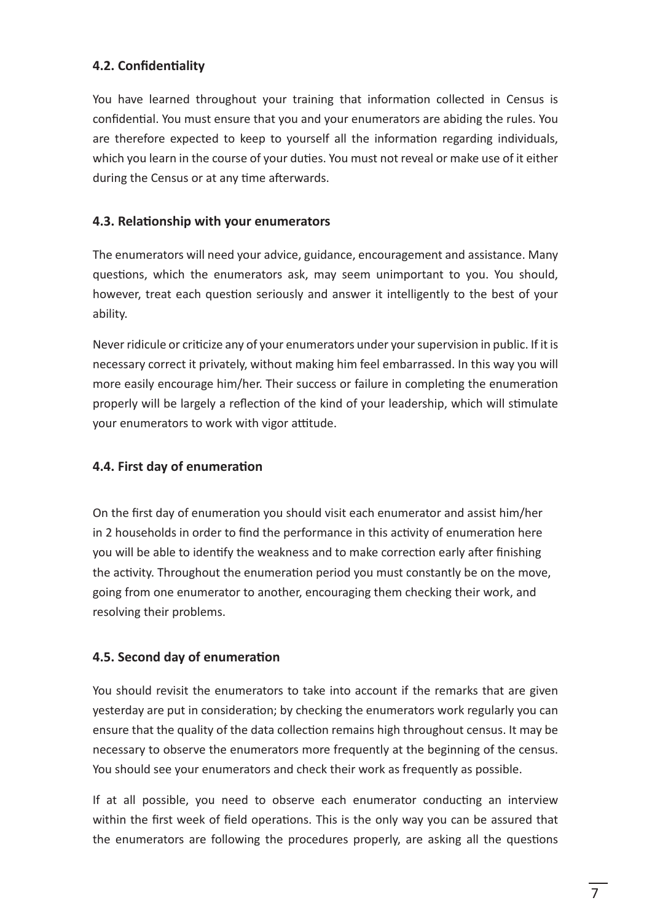#### **4.2. Confidentiality**

You have learned throughout your training that information collected in Census is confidential. You must ensure that you and your enumerators are abiding the rules. You are therefore expected to keep to yourself all the information regarding individuals, which you learn in the course of your duties. You must not reveal or make use of it either during the Census or at any time afterwards.

#### **4.3. Relationship with your enumerators**

The enumerators will need your advice, guidance, encouragement and assistance. Many questions, which the enumerators ask, may seem unimportant to you. You should, however, treat each question seriously and answer it intelligently to the best of your ability.

Never ridicule or criticize any of your enumerators under your supervision in public. If it is necessary correct it privately, without making him feel embarrassed. In this way you will more easily encourage him/her. Their success or failure in completing the enumeration properly will be largely a reflection of the kind of your leadership, which will stimulate your enumerators to work with vigor attitude.

#### **4.4. First day of enumeration**

On the first day of enumeration you should visit each enumerator and assist him/her in 2 households in order to find the performance in this activity of enumeration here you will be able to identify the weakness and to make correction early after finishing the activity. Throughout the enumeration period you must constantly be on the move, going from one enumerator to another, encouraging them checking their work, and resolving their problems.

#### **4.5. Second day of enumeration**

You should revisit the enumerators to take into account if the remarks that are given yesterday are put in consideration; by checking the enumerators work regularly you can ensure that the quality of the data collection remains high throughout census. It may be necessary to observe the enumerators more frequently at the beginning of the census. You should see your enumerators and check their work as frequently as possible.

If at all possible, you need to observe each enumerator conducting an interview within the first week of field operations. This is the only way you can be assured that the enumerators are following the procedures properly, are asking all the questions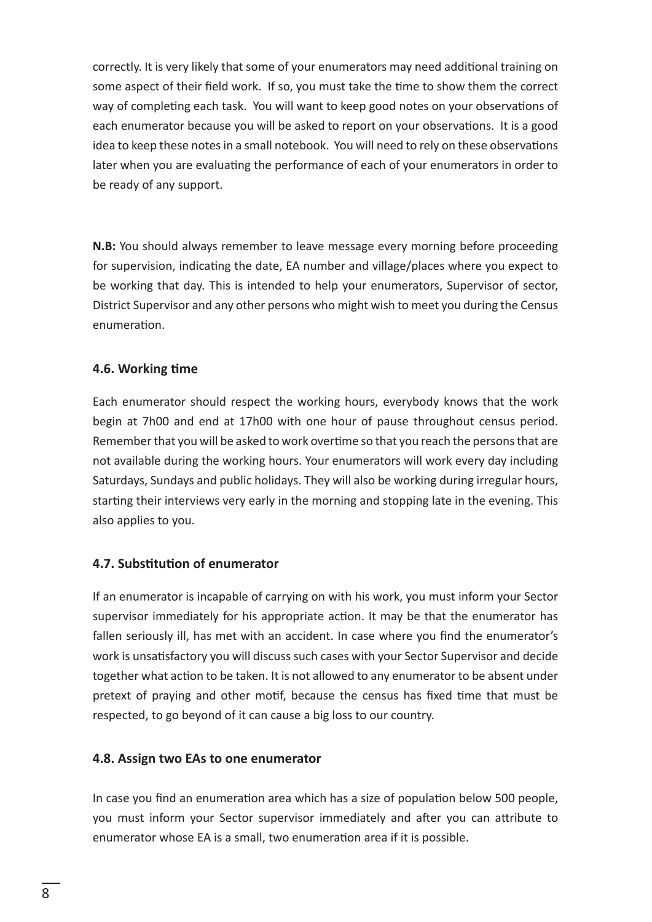correctly. It is very likely that some of your enumerators may need additional training on some aspect of their field work. If so, you must take the time to show them the correct way of completing each task. You will want to keep good notes on your observations of each enumerator because you will be asked to report on your observations. It is a good idea to keep these notes in a small notebook. You will need to rely on these observations later when you are evaluating the performance of each of your enumerators in order to be ready of any support.

**N.B:** You should always remember to leave message every morning before proceeding for supervision, indicating the date, EA number and village/places where you expect to be working that day. This is intended to help your enumerators, Supervisor of sector, District Supervisor and any other persons who might wish to meet you during the Census enumeration.

#### **4.6. Working time**

Each enumerator should respect the working hours, everybody knows that the work begin at 7h00 and end at 17h00 with one hour of pause throughout census period. Remember that you will be asked to work overtime so that you reach the persons that are not available during the working hours. Your enumerators will work every day including Saturdays, Sundays and public holidays. They will also be working during irregular hours, starting their interviews very early in the morning and stopping late in the evening. This also applies to you.

#### **4.7. Substitution of enumerator**

If an enumerator is incapable of carrying on with his work, you must inform your Sector supervisor immediately for his appropriate action. It may be that the enumerator has fallen seriously ill, has met with an accident. In case where you find the enumerator's work is unsatisfactory you will discuss such cases with your Sector Supervisor and decide together what action to be taken. It is not allowed to any enumerator to be absent under pretext of praying and other motif, because the census has fixed time that must be respected, to go beyond of it can cause a big loss to our country.

#### **4.8. Assign two EAs to one enumerator**

In case you find an enumeration area which has a size of population below 500 people, you must inform your Sector supervisor immediately and after you can attribute to enumerator whose EA is a small, two enumeration area if it is possible.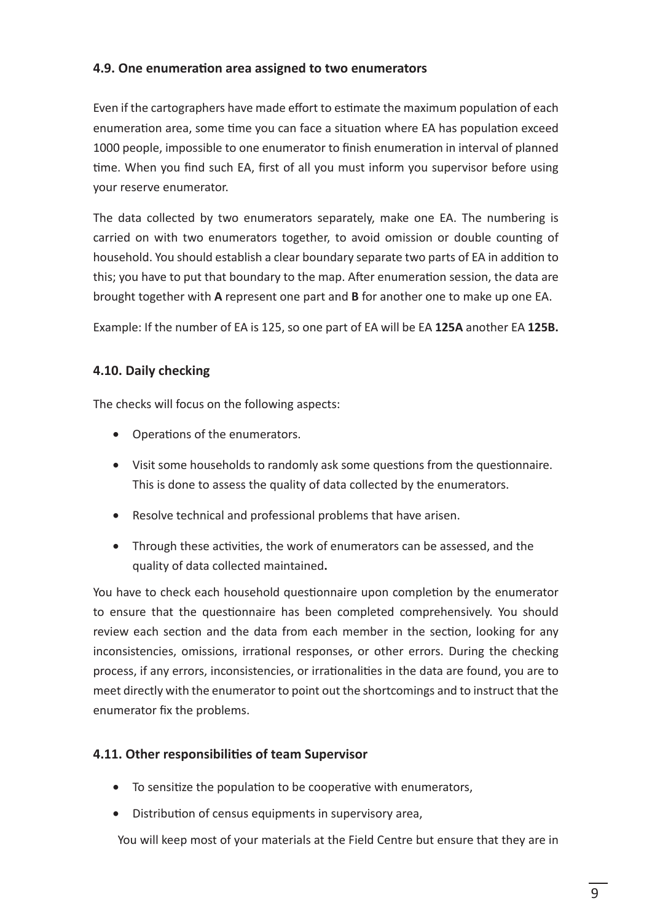#### **4.9. One enumeration area assigned to two enumerators**

Even if the cartographers have made effort to estimate the maximum population of each enumeration area, some time you can face a situation where EA has population exceed 1000 people, impossible to one enumerator to finish enumeration in interval of planned time. When you find such EA, first of all you must inform you supervisor before using your reserve enumerator.

The data collected by two enumerators separately, make one EA. The numbering is carried on with two enumerators together, to avoid omission or double counting of household. You should establish a clear boundary separate two parts of EA in addition to this; you have to put that boundary to the map. After enumeration session, the data are brought together with **A** represent one part and **B** for another one to make up one EA.

Example: If the number of EA is 125, so one part of EA will be EA **125A** another EA **125B.**

#### **4.10. Daily checking**

The checks will focus on the following aspects:

- • Operations of the enumerators.
- Visit some households to randomly ask some questions from the questionnaire. This is done to assess the quality of data collected by the enumerators.
- Resolve technical and professional problems that have arisen.
- Through these activities, the work of enumerators can be assessed, and the quality of data collected maintained**.**

You have to check each household questionnaire upon completion by the enumerator to ensure that the questionnaire has been completed comprehensively. You should review each section and the data from each member in the section, looking for any inconsistencies, omissions, irrational responses, or other errors. During the checking process, if any errors, inconsistencies, or irrationalities in the data are found, you are to meet directly with the enumerator to point out the shortcomings and to instruct that the enumerator fix the problems.

#### **4.11. Other responsibilities of team Supervisor**

- To sensitize the population to be cooperative with enumerators,
- Distribution of census equipments in supervisory area,

You will keep most of your materials at the Field Centre but ensure that they are in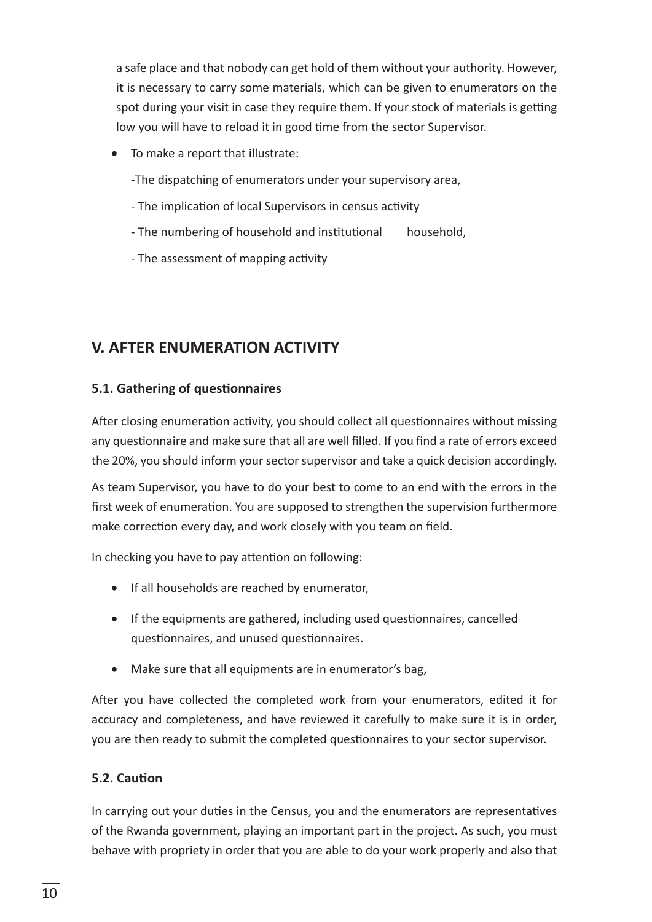a safe place and that nobody can get hold of them without your authority. However, it is necessary to carry some materials, which can be given to enumerators on the spot during your visit in case they require them. If your stock of materials is getting low you will have to reload it in good time from the sector Supervisor.

 • To make a report that illustrate:

-The dispatching of enumerators under your supervisory area,

- The implication of local Supervisors in census activity
- The numbering of household and institutional household,
- The assessment of mapping activity

## **V. AFTER ENUMERATION ACTIVITY**

#### **5.1. Gathering of questionnaires**

After closing enumeration activity, you should collect all questionnaires without missing any questionnaire and make sure that all are well filled. If you find a rate of errors exceed the 20%, you should inform your sector supervisor and take a quick decision accordingly.

As team Supervisor, you have to do your best to come to an end with the errors in the first week of enumeration. You are supposed to strengthen the supervision furthermore make correction every day, and work closely with you team on field.

In checking you have to pay attention on following:

- • If all households are reached by enumerator,
- If the equipments are gathered, including used questionnaires, cancelled questionnaires, and unused questionnaires.
- Make sure that all equipments are in enumerator's bag,

After you have collected the completed work from your enumerators, edited it for accuracy and completeness, and have reviewed it carefully to make sure it is in order, you are then ready to submit the completed questionnaires to your sector supervisor.

#### **5.2. Caution**

In carrying out your duties in the Census, you and the enumerators are representatives of the Rwanda government, playing an important part in the project. As such, you must behave with propriety in order that you are able to do your work properly and also that